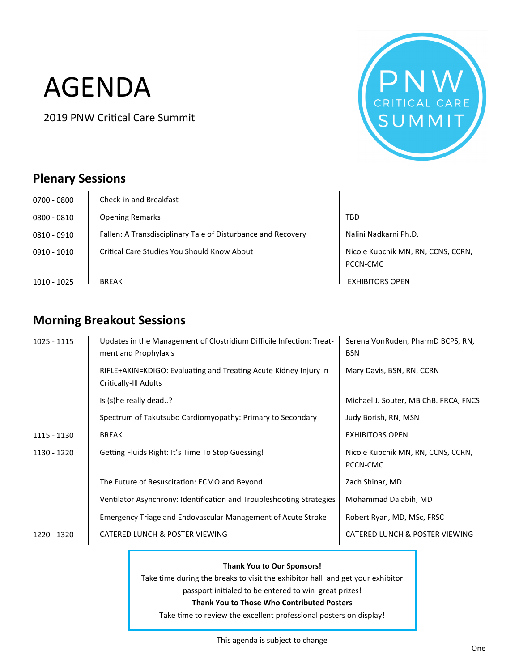# AGENDA

2019 PNW Critical Care Summit



## **Plenary Sessions**

| 0700 - 0800   | Check-in and Breakfast                                       |                                                |
|---------------|--------------------------------------------------------------|------------------------------------------------|
| $0800 - 0810$ | <b>Opening Remarks</b>                                       | <b>TBD</b>                                     |
| $0810 - 0910$ | Fallen: A Transdisciplinary Tale of Disturbance and Recovery | Nalini Nadkarni Ph.D.                          |
| $0910 - 1010$ | Critical Care Studies You Should Know About                  | Nicole Kupchik MN, RN, CCNS, CCRN,<br>PCCN-CMC |
| 1010 - 1025   | <b>BREAK</b>                                                 | <b>EXHIBITORS OPEN</b>                         |

## **Morning Breakout Sessions**

| $1025 - 1115$ | Updates in the Management of Clostridium Difficile Infection: Treat-<br>ment and Prophylaxis                        | Serena VonRuden, PharmD BCPS, RN,<br><b>BSN</b> |
|---------------|---------------------------------------------------------------------------------------------------------------------|-------------------------------------------------|
|               | RIFLE+AKIN=KDIGO: Evaluating and Treating Acute Kidney Injury in<br>Critically-Ill Adults                           | Mary Davis, BSN, RN, CCRN                       |
|               | Is (s)he really dead?                                                                                               | Michael J. Souter, MB ChB. FRCA, FNCS           |
|               | Spectrum of Takutsubo Cardiomyopathy: Primary to Secondary                                                          | Judy Borish, RN, MSN                            |
| 1115 - 1130   | <b>BREAK</b>                                                                                                        | <b>EXHIBITORS OPEN</b>                          |
| 1130 - 1220   | Getting Fluids Right: It's Time To Stop Guessing!                                                                   | Nicole Kupchik MN, RN, CCNS, CCRN,<br>PCCN-CMC  |
|               | The Future of Resuscitation: ECMO and Beyond                                                                        | Zach Shinar, MD                                 |
|               | Ventilator Asynchrony: Identification and Troubleshooting Strategies                                                | Mohammad Dalabih, MD                            |
|               | Emergency Triage and Endovascular Management of Acute Stroke                                                        | Robert Ryan, MD, MSc, FRSC                      |
| 1220 - 1320   | <b>CATERED LUNCH &amp; POSTER VIEWING</b>                                                                           | <b>CATERED LUNCH &amp; POSTER VIEWING</b>       |
|               | <b>Thank You to Our Sponsors!</b><br>Take time during the breaks to visit the exhibitor hall and get your exhibitor |                                                 |

passport initialed to be entered to win great prizes!

#### **Thank You to Those Who Contributed Posters**

Take time to review the excellent professional posters on display!